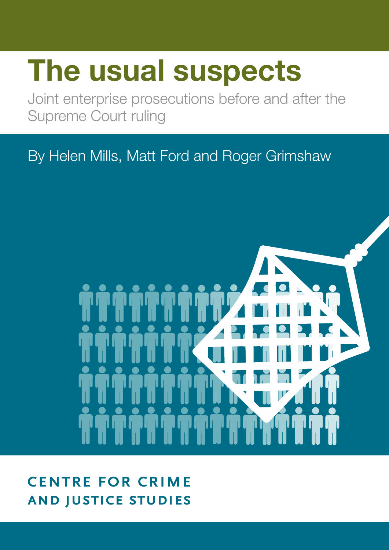# **The usual suspects**

Joint enterprise prosecutions before and after the Supreme Court ruling

By Helen Mills, Matt Ford and Roger Grimshaw



**CENTRE FOR CRIME AND JUSTICE STUDIES**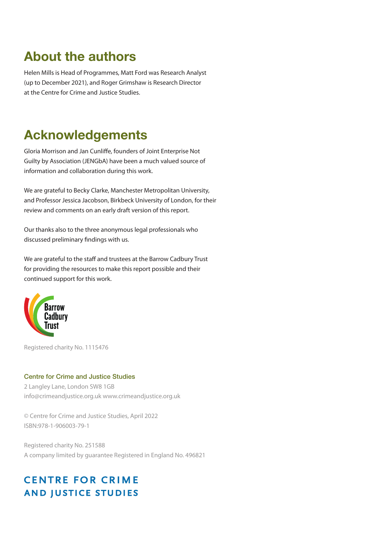### **About the authors**

Helen Mills is Head of Programmes, Matt Ford was Research Analyst (up to December 2021), and Roger Grimshaw is Research Director at the Centre for Crime and Justice Studies.

### **Acknowledgements**

Gloria Morrison and Jan Cunliffe, founders of Joint Enterprise Not Guilty by Association (JENGbA) have been a much valued source of information and collaboration during this work.

We are grateful to Becky Clarke, Manchester Metropolitan University, and Professor Jessica Jacobson, Birkbeck University of London, for their review and comments on an early draft version of this report.

Our thanks also to the three anonymous legal professionals who discussed preliminary findings with us.

We are grateful to the staff and trustees at the Barrow Cadbury Trust for providing the resources to make this report possible and their continued support for this work.



Registered charity No. 1115476

#### Centre for Crime and Justice Studies

2 Langley Lane, London SW8 1GB info@crimeandjustice.org.uk www.crimeandjustice.org.uk

© Centre for Crime and Justice Studies, April 2022 ISBN:978-1-906003-79-1

Registered charity No. 251588 A company limited by guarantee Registered in England No. 496821

### **CENTRE FOR CRIME AND JUSTICE STUDIES**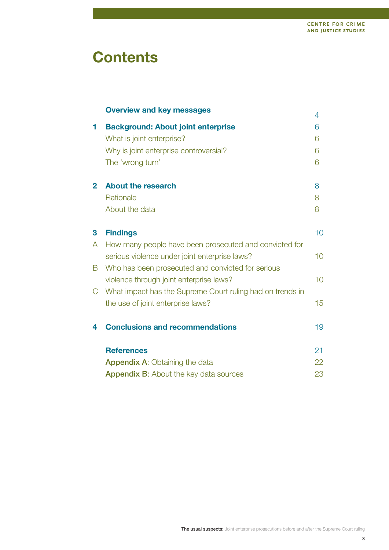### **Contents**

|              | <b>Overview and key messages</b>                          | 4  |
|--------------|-----------------------------------------------------------|----|
| 1            | <b>Background: About joint enterprise</b>                 | 6  |
|              | What is joint enterprise?                                 | 6  |
|              | Why is joint enterprise controversial?                    | 6  |
|              | The 'wrong turn'                                          | 6  |
| $\mathbf{2}$ | <b>About the research</b>                                 | 8  |
|              | Rationale                                                 | 8  |
|              | About the data                                            | 8  |
| 3            | <b>Findings</b>                                           | 10 |
| A            | How many people have been prosecuted and convicted for    |    |
|              | serious violence under joint enterprise laws?             | 10 |
| B            | Who has been prosecuted and convicted for serious         |    |
|              | violence through joint enterprise laws?                   | 10 |
| C            | What impact has the Supreme Court ruling had on trends in |    |
|              | the use of joint enterprise laws?                         | 15 |
| 4            | <b>Conclusions and recommendations</b>                    | 19 |
|              | <b>References</b>                                         | 21 |
|              | <b>Appendix A: Obtaining the data</b>                     | 22 |
|              | <b>Appendix B:</b> About the key data sources             | 23 |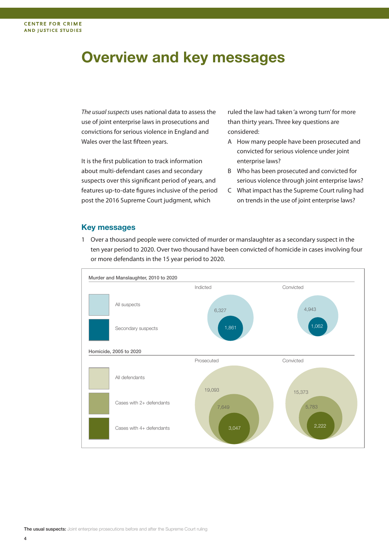### **Overview and key messages**

The usual suspects uses national data to assess the use of joint enterprise laws in prosecutions and convictions for serious violence in England and Wales over the last fifteen years.

It is the first publication to track information about multi-defendant cases and secondary suspects over this significant period of years, and features up-to-date figures inclusive of the period post the 2016 Supreme Court judgment, which

ruled the law had taken 'a wrong turn'for more than thirty years. Three key questions are considered:

- A How many people have been prosecuted and convicted for serious violence under joint enterprise laws?
- B Who has been prosecuted and convicted for serious violence through joint enterprise laws?
- C What impact has the Supreme Court ruling had on trends in the use of joint enterprise laws?

#### **Key messages**

1 Over a thousand people were convicted of murder or manslaughter as a secondary suspect in the ten year period to 2020. Over two thousand have been convicted of homicide in cases involving four or more defendants in the 15 year period to 2020.

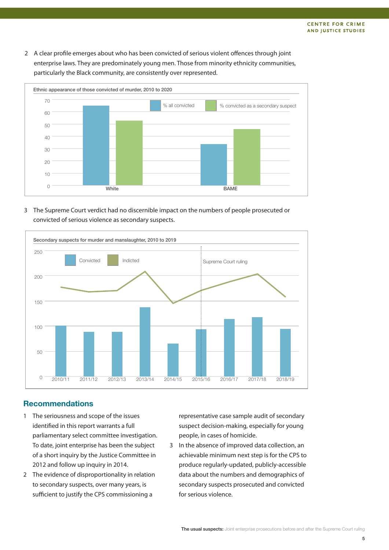2 A clear profile emerges about who has been convicted of serious violent offences through joint enterprise laws. They are predominately young men. Those from minority ethnicity communities, particularly the Black community, are consistently over represented.



#### 3 The Supreme Court verdict had no discernible impact on the numbers of people prosecuted or convicted of serious violence as secondary suspects.



#### **Recommendations**

- 1 The seriousness and scope of the issues identified in this report warrants a full parliamentary select committee investigation. To date, joint enterprise has been the subject of a short inquiry by the Justice Committee in 2012 and follow up inquiry in 2014.
- 2 The evidence of disproportionality in relation to secondary suspects, over many years, is sufficient to justify the CPS commissioning a

representative case sample audit of secondary suspect decision-making, especially for young people, in cases of homicide.

3 In the absence of improved data collection, an achievable minimum next step is for the CPS to produce regularly-updated, publicly-accessible data about the numbers and demographics of secondary suspects prosecuted and convicted for serious violence.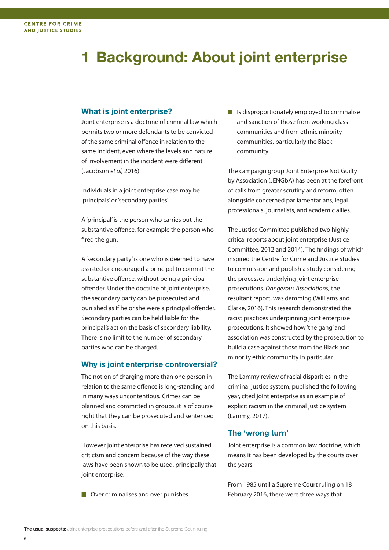### **1 Background: About joint enterprise**

#### **What is joint enterprise?**

Joint enterprise is a doctrine of criminal law which permits two or more defendants to be convicted of the same criminal offence in relation to the same incident, even where the levels and nature of involvement in the incident were different (Jacobson et al, 2016).

Individuals in a joint enterprise case may be 'principals'or'secondary parties'.

A'principal' is the person who carries out the substantive offence, for example the person who fired the gun.

A'secondary party' is one who is deemed to have assisted or encouraged a principal to commit the substantive offence, without being a principal offender. Under the doctrine of joint enterprise, the secondary party can be prosecuted and punished as if he or she were a principal offender. Secondary parties can be held liable for the principal's act on the basis of secondary liability. There is no limit to the number of secondary parties who can be charged.

#### **Why is joint enterprise controversial?**

The notion of charging more than one person in relation to the same offence is long-standing and in many ways uncontentious. Crimes can be planned and committed in groups, it is of course right that they can be prosecuted and sentenced on this basis.

However joint enterprise has received sustained criticism and concern because of the way these laws have been shown to be used, principally that joint enterprise:

■ Over criminalises and over punishes.

■ Is disproportionately employed to criminalise and sanction of those from working class communities and from ethnic minority communities, particularly the Black community.

The campaign group Joint Enterprise Not Guilty by Association (JENGbA) has been at the forefront of calls from greater scrutiny and reform, often alongside concerned parliamentarians, legal professionals, journalists, and academic allies.

The Justice Committee published two highly critical reports about joint enterprise (Justice Committee, 2012 and 2014). The findings of which inspired the Centre for Crime and Justice Studies to commission and publish a study considering the processes underlying joint enterprise prosecutions. Dangerous Associations, the resultant report, was damming (Williams and Clarke, 2016). This research demonstrated the racist practices underpinning joint enterprise prosecutions. It showed how'the gang' and association was constructed by the prosecution to build a case against those from the Black and minority ethic community in particular.

The Lammy review of racial disparities in the criminal justice system, published the following year, cited joint enterprise as an example of explicit racism in the criminal justice system (Lammy, 2017).

#### **The 'wrong turn'**

Joint enterprise is a common law doctrine, which means it has been developed by the courts over the years.

From 1985 until a Supreme Court ruling on 18 February 2016, there were three ways that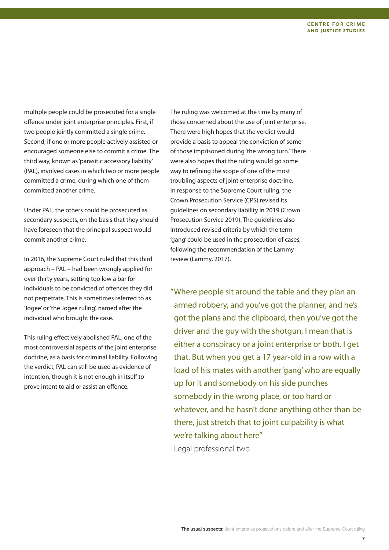multiple people could be prosecuted for a single offence under joint enterprise principles. First, if two people jointly committed a single crime. Second, if one or more people actively assisted or encouraged someone else to commit a crime. The third way, known as'parasitic accessory liability' (PAL), involved cases in which two or more people committed a crime, during which one of them committed another crime.

Under PAL, the others could be prosecuted as secondary suspects, on the basis that they should have foreseen that the principal suspect would commit another crime.

In 2016, the Supreme Court ruled that this third approach – PAL – had been wrongly applied for over thirty years, setting too low a bar for individuals to be convicted of offences they did not perpetrate. This is sometimes referred to as 'Jogee'or'the Jogee ruling', named after the individual who brought the case.

This ruling effectively abolished PAL, one of the most controversial aspects of the joint enterprise doctrine, as a basis for criminal liability. Following the verdict, PAL can still be used as evidence of intention, though it is not enough in itself to prove intent to aid or assist an offence.

The ruling was welcomed at the time by many of those concerned about the use of joint enterprise. There were high hopes that the verdict would provide a basis to appeal the conviction of some of those imprisoned during'the wrong turn.'There were also hopes that the ruling would go some way to refining the scope of one of the most troubling aspects of joint enterprise doctrine. In response to the Supreme Court ruling, the Crown Prosecution Service (CPS) revised its guidelines on secondary liability in 2019 (Crown Prosecution Service 2019). The guidelines also introduced revised criteria by which the term 'gang' could be used in the prosecution of cases, following the recommendation of the Lammy review (Lammy, 2017).

"Where people sit around the table and they plan an armed robbery, and you've got the planner, and he's got the plans and the clipboard, then you've got the driver and the guy with the shotgun, I mean that is either a conspiracy or a joint enterprise or both. I get that. But when you get a 17 year-old in a row with a load of his mates with another'gang'who are equally up for it and somebody on his side punches somebody in the wrong place, or too hard or whatever, and he hasn't done anything other than be there, just stretch that to joint culpability is what we're talking about here" Legal professional two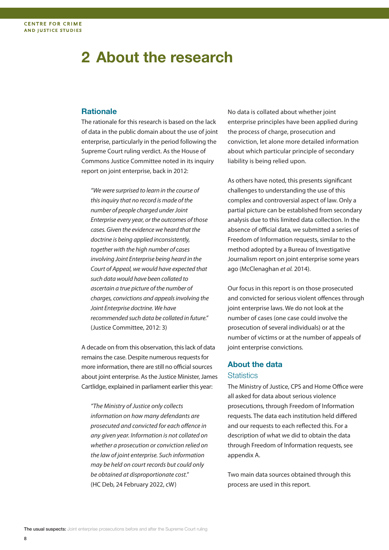### **2 About the research**

#### **Rationale**

The rationale for this research is based on the lack of data in the public domain about the use of joint enterprise, particularly in the period following the Supreme Court ruling verdict. As the House of Commons Justice Committee noted in its inquiry report on joint enterprise, back in 2012:

"We were surprised to learn in the course of this inquiry that no record is made of the number of people charged under Joint Enterprise every year, or the outcomes of those cases. Given the evidence we heard that the doctrine is being applied inconsistently, together with the high number of cases involving Joint Enterprise being heard in the Court of Appeal, we would have expected that such data would have been collated to ascertain a true picture of the number of charges, convictions and appealsinvolving the Joint Enterprise doctrine. We have recommended such data be collated in future." (Justice Committee, 2012: 3)

A decade on from this observation, this lack of data remains the case. Despite numerous requests for more information, there are still no official sources about joint enterprise. As the Justice Minister, James Cartlidge, explained in parliament earlier this year:

"The Ministry of Justice only collects information on how many defendants are prosecuted and convicted for each offence in any given year. Information is not collated on whether a prosecution or conviction relied on the law of joint enterprise. Such information may be held on court records but could only be obtained at disproportionate cost." (HC Deb, 24 February 2022, cW)

No data is collated about whether joint enterprise principles have been applied during the process of charge, prosecution and conviction, let alone more detailed information about which particular principle of secondary liability is being relied upon.

As others have noted, this presents significant challenges to understanding the use of this complex and controversial aspect of law. Only a partial picture can be established from secondary analysis due to this limited data collection. In the absence of official data, we submitted a series of Freedom of Information requests, similar to the method adopted by a Bureau of Investigative Journalism report on joint enterprise some years ago (McClenaghan et al. 2014).

Our focus in this report is on those prosecuted and convicted for serious violent offences through joint enterprise laws. We do not look at the number of cases (one case could involve the prosecution of several individuals) or at the number of victims or at the number of appeals of joint enterprise convictions.

#### **About the data Statistics**

The Ministry of Justice, CPS and Home Office were all asked for data about serious violence prosecutions, through Freedom of Information requests. The data each institution held differed and our requests to each reflected this. For a description of what we did to obtain the data through Freedom of Information requests, see appendix A.

Two main data sources obtained through this process are used in this report.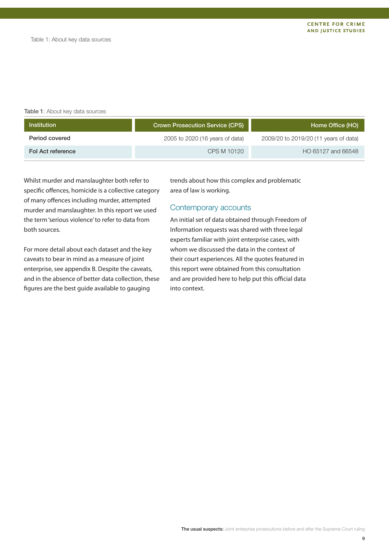#### Table 1: About key data sources

| Institution       | Crown Prosecution Service (CPS) | Home Office (HO)                      |
|-------------------|---------------------------------|---------------------------------------|
| Period covered    | 2005 to 2020 (16 years of data) | 2009/20 to 2019/20 (11 years of data) |
| Fol Act reference | CPS M 10120                     | HO 65127 and 66548                    |

Whilst murder and manslaughter both refer to specific offences, homicide is a collective category of many offences including murder, attempted murder and manslaughter. In this report we used the term'serious violence'to refer to data from both sources.

For more detail about each dataset and the key caveats to bear in mind as a measure of joint enterprise, see appendix B. Despite the caveats, and in the absence of better data collection, these figures are the best guide available to gauging

trends about how this complex and problematic area of law is working.

#### Contemporary accounts

An initial set of data obtained through Freedom of Information requests was shared with three legal experts familiar with joint enterprise cases, with whom we discussed the data in the context of their court experiences. All the quotes featured in this report were obtained from this consultation and are provided here to help put this official data into context.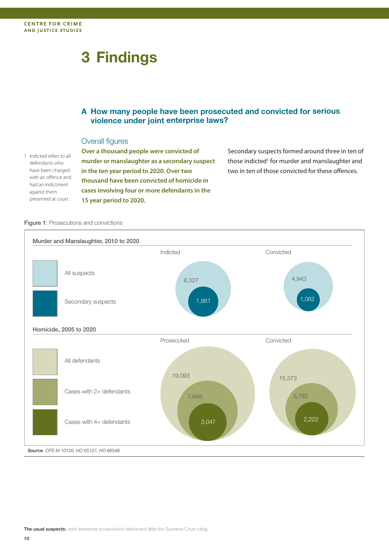## **3 Findings**

#### **A How many people have been prosecuted and convicted for serious violence under joint enterprise laws?**

#### Overall figures

1 Indicted refers to all defendants who have been charged with an offence and had an indictment against them presented at court.

**Over a thousand people were convicted of murder or manslaughter as a secondary suspect in the ten year period to 2020. Over two thousand have been convicted of homicide in cases involving four or more defendants in the 15 year period to 2020.**

Secondary suspects formed around three in ten of those indicted<sup>1</sup> for murder and manslaughter and two in ten of those convicted for these offences.

Figure 1: Prosecutions and convictions

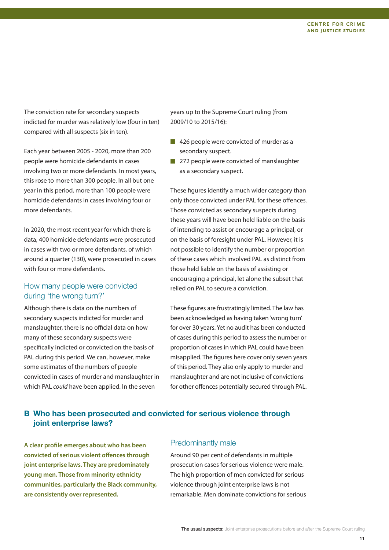The conviction rate for secondary suspects indicted for murder was relatively low (four in ten) compared with all suspects (six in ten).

Each year between 2005 - 2020, more than 200 people were homicide defendants in cases involving two or more defendants. In most years, this rose to more than 300 people. In all but one year in this period, more than 100 people were homicide defendants in cases involving four or more defendants.

In 2020, the most recent year for which there is data, 400 homicide defendants were prosecuted in cases with two or more defendants, of which around a quarter (130), were prosecuted in cases with four or more defendants.

#### How many people were convicted during 'the wrong turn?'

Although there is data on the numbers of secondary suspects indicted for murder and manslaughter, there is no official data on how many of these secondary suspects were specifically indicted or convicted on the basis of PAL during this period. We can, however, make some estimates of the numbers of people convicted in cases of murder and manslaughter in which PAL *could* have been applied. In the seven

years up to the Supreme Court ruling (from 2009/10 to 2015/16):

- 426 people were convicted of murder as a secondary suspect.
- 272 people were convicted of manslaughter as a secondary suspect.

These figures identify a much wider category than only those convicted under PAL for these offences. Those convicted as secondary suspects during these years will have been held liable on the basis of intending to assist or encourage a principal, or on the basis of foresight under PAL. However, it is not possible to identify the number or proportion of these cases which involved PAL as distinct from those held liable on the basis of assisting or encouraging a principal, let alone the subset that relied on PAL to secure a conviction.

These figures are frustratingly limited. The law has been acknowledged as having taken'wrong turn' for over 30 years. Yet no audit has been conducted of cases during this period to assess the number or proportion of cases in which PAL could have been misapplied. The figures here cover only seven years of this period. They also only apply to murder and manslaughter and are not inclusive of convictions for other offences potentially secured through PAL.

### **B Who has been prosecuted and convicted for serious violence through joint enterprise laws?**

**A clear profile emerges about who has been convicted of serious violent offences through joint enterprise laws. They are predominately young men. Those from minority ethnicity communities, particularly the Black community, are consistently over represented.**

#### Predominantly male

Around 90 per cent of defendants in multiple prosecution cases for serious violence were male. The high proportion of men convicted for serious violence through joint enterprise laws is not remarkable. Men dominate convictions for serious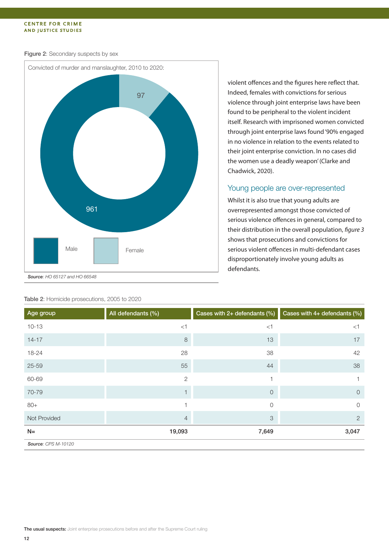#### **CENTRE FOR CRIME AND JUSTICE STUDIES**

#### Figure 2: Secondary suspects by sex



violent offences and the figures here reflect that. Indeed, females with convictions for serious violence through joint enterprise laws have been found to be peripheral to the violent incident itself. Research with imprisoned women convicted through joint enterprise laws found'90% engaged in no violence in relation to the events related to their joint enterprise conviction. In no cases did the women use a deadly weapon'(Clarke and Chadwick, 2020).

#### Young people are over-represented

Whilst it is also true that young adults are overrepresented amongst those convicted of serious violence offences in general, compared to their distribution in the overall population, figure 3 shows that prosecutions and convictions for serious violent offences in multi-defendant cases disproportionately involve young adults as defendants.

| Age group           | All defendants (%) | Cases with 2+ defendants (%) | Cases with 4+ defendants (%) |
|---------------------|--------------------|------------------------------|------------------------------|
| $10 - 13$           | $<$ 1              | $<$ 1                        | $<$ 1                        |
| $14 - 17$           | 8                  | 13                           | 17                           |
| 18-24               | 28                 | 38                           | 42                           |
| $25 - 59$           | 55                 | 44                           | 38                           |
| 60-69               | $\overline{2}$     |                              |                              |
| 70-79               |                    | $\circ$                      | $\circ$                      |
| $80+$               |                    | $\mathcal{O}$                | $\mathcal{O}$                |
| Not Provided        | $\overline{4}$     | 3                            | $\overline{2}$               |
| $N=$                | 19,093             | 7,649                        | 3,047                        |
| Source: CPS M-10120 |                    |                              |                              |

#### Table 2: Homicide prosecutions, 2005 to 2020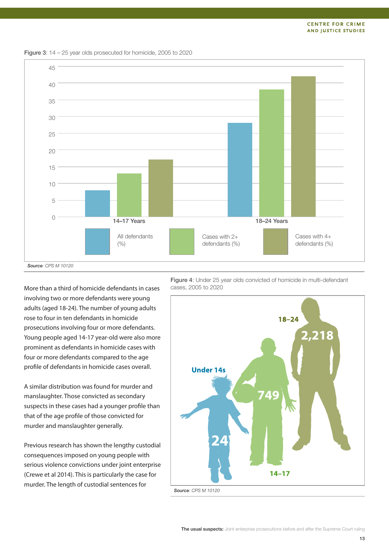

Figure 3: 14 – 25 year olds prosecuted for homicide, 2005 to 2020

More than a third of homicide defendants in cases involving two or more defendants were young adults (aged 18-24). The number of young adults rose to four in ten defendants in homicide prosecutions involving four or more defendants. Young people aged 14-17 year-old were also more prominent as defendants in homicide cases with four or more defendants compared to the age profile of defendants in homicide cases overall.

A similar distribution was found for murder and manslaughter. Those convicted as secondary suspects in these cases had a younger profile than that of the age profile of those convicted for murder and manslaughter generally.

Previous research has shown the lengthy custodial consequences imposed on young people with serious violence convictions under joint enterprise (Crewe et al 2014). This is particularly the case for murder. The length of custodial sentences for

Figure 4: Under 25 year olds convicted of homicide in multi-defendant cases, 2005 to 2020

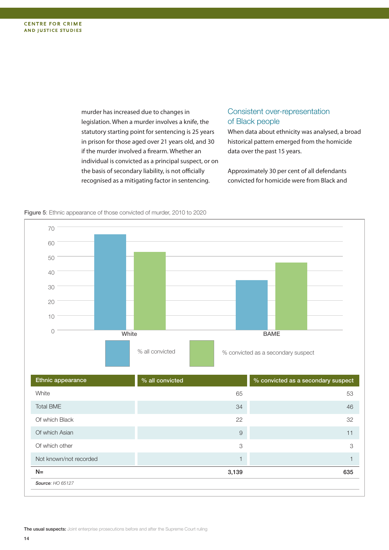murder has increased due to changes in legislation. When a murder involves a knife, the statutory starting point for sentencing is 25 years in prison for those aged over 21 years old, and 30 if the murder involved a firearm. Whether an individual is convicted as a principal suspect, or on the basis of secondary liability, is not officially recognised as a mitigating factor in sentencing.

#### Consistent over-representation of Black people

When data about ethnicity was analysed, a broad historical pattern emerged from the homicide data over the past 15 years.

Approximately 30 per cent of all defendants convicted for homicide were from Black and



Figure 5: Ethnic appearance of those convicted of murder, 2010 to 2020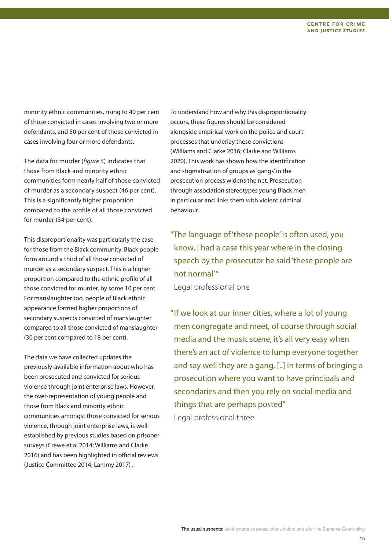minority ethnic communities, rising to 40 per cent of those convicted in cases involving two or more defendants, and 50 per cent of those convicted in cases involving four or more defendants.

The data for murder (figure 5) indicates that those from Black and minority ethnic communities form nearly half of those convicted of murder as a secondary suspect (46 per cent). This is a significantly higher proportion compared to the profile of all those convicted for murder (34 per cent).

This disproportionality was particularly the case for those from the Black community. Black people form around a third of all those convicted of murder as a secondary suspect. This is a higher proportion compared to the ethnic profile of all those convicted for murder, by some 10 per cent. For manslaughter too, people of Black ethnic appearance formed higher proportions of secondary suspects convicted of manslaughter compared to all those convicted of manslaughter (30 per cent compared to 18 per cent).

The data we have collected updates the previously-available information about who has been prosecuted and convicted for serious violence through joint enterprise laws. However, the over-representation of young people and those from Black and minority ethnic communities amongst those convicted for serious violence, through joint enterprise laws, is wellestablished by previous studies based on prisoner surveys (Crewe et al 2014; Williams and Clarke 2016) and has been highlighted in official reviews (Justice Committee 2014; Lammy 2017) .

To understand how and why this disproportionality occurs, these figures should be considered alongside empirical work on the police and court processes that underlay these convictions (Williams and Clarke 2016; Clarke and Williams 2020). This work has shown how the identification and stigmatisation of groups as'gangs' in the prosecution process widens the net. Prosecution through association stereotypes young Black men in particular and links them with violent criminal behaviour.

"The language of'these people' is often used, you know, I had a case this year where in the closing speech by the prosecutor he said'these people are not normal'"

Legal professional one

"If we look at our inner cities, where a lot of young men congregate and meet, of course through social media and the music scene, it's all very easy when there's an act of violence to lump everyone together and say well they are a gang, [..] in terms of bringing a prosecution where you want to have principals and secondaries and then you rely on social media and things that are perhaps posted" Legal professional three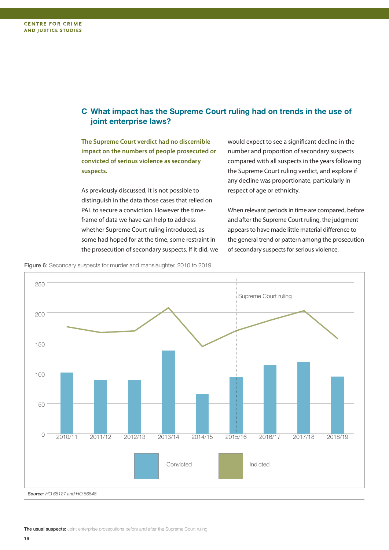### **C What impact has the Supreme Court ruling had on trends in the use of joint enterprise laws?**

**The Supreme Court verdict had no discernible impact on the numbers of people prosecuted or convicted of serious violence as secondary suspects.**

As previously discussed, it is not possible to distinguish in the data those cases that relied on PAL to secure a conviction. However the timeframe of data we have can help to address whether Supreme Court ruling introduced, as some had hoped for at the time, some restraint in the prosecution of secondary suspects. If it did, we would expect to see a significant decline in the number and proportion of secondary suspects compared with all suspects in the years following the Supreme Court ruling verdict, and explore if any decline was proportionate, particularly in respect of age or ethnicity.

When relevant periods in time are compared, before and after the Supreme Court ruling, the judgment appears to have made little material difference to the general trend or pattern among the prosecution of secondary suspects for serious violence.

Figure 6: Secondary suspects for murder and manslaughter, 2010 to 2019

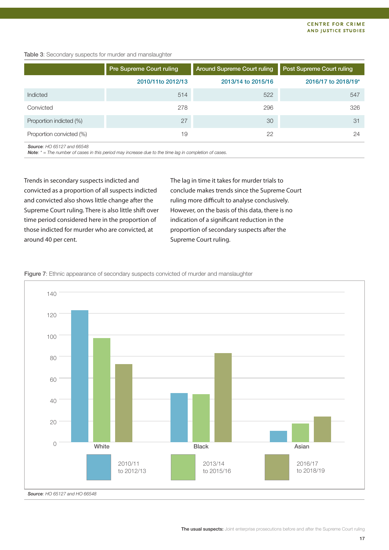#### Table 3: Secondary suspects for murder and manslaughter

|                          | Pre Supreme Court ruling | <b>Around Supreme Court ruling</b> | Post Supreme Court ruling |
|--------------------------|--------------------------|------------------------------------|---------------------------|
|                          | 2010/11to 2012/13        | 2013/14 to 2015/16                 | 2016/17 to 2018/19*       |
| Indicted                 | 514                      | 522                                | 547                       |
| Convicted                | 278                      | 296                                | 326                       |
| Proportion indicted (%)  | 27                       | 30                                 | 31                        |
| Proportion convicted (%) | 19                       | 22                                 | 24                        |

Source: HO 65127 and 66548

**Note:**  $* =$  The number of cases in this period may increase due to the time lag in completion of cases.

Trends in secondary suspects indicted and convicted as a proportion of all suspects indicted and convicted also shows little change after the Supreme Court ruling. There is also little shift over time period considered here in the proportion of those indicted for murder who are convicted, at around 40 per cent.

The lag in time it takes for murder trials to conclude makes trends since the Supreme Court ruling more difficult to analyse conclusively. However, on the basis of this data, there is no indication of a significant reduction in the proportion of secondary suspects after the Supreme Court ruling.



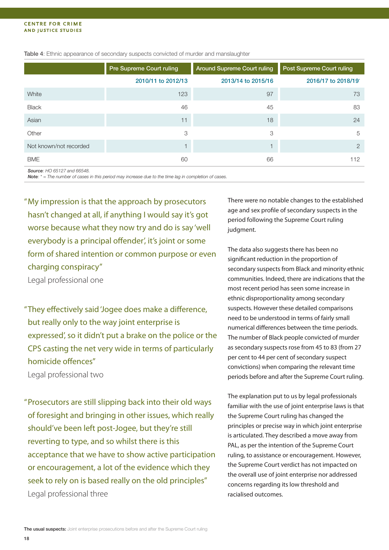|                        | <b>Pre Supreme Court ruling</b> | <b>Around Supreme Court ruling</b> | <b>Post Supreme Court ruling</b> |
|------------------------|---------------------------------|------------------------------------|----------------------------------|
|                        | 2010/11 to 2012/13              | 2013/14 to 2015/16                 | 2016/17 to 2018/19               |
| White                  | 123                             | 97                                 | 73                               |
| <b>Black</b>           | 46                              | 45                                 | 83                               |
| Asian                  | 11                              | 18                                 | 24                               |
| Other                  | 3                               | 3                                  | 5                                |
| Not known/not recorded |                                 |                                    | $\mathcal{P}$                    |
| <b>BME</b>             | 60                              | 66                                 | 112                              |

#### Table 4: Ethnic appearance of secondary suspects convicted of murder and manslaughter

Source: HO 65127 and 66548.

**Note:**  $* =$  The number of cases in this period may increase due to the time lag in completion of cases.

"My impression is that the approach by prosecutors hasn't changed at all, if anything I would say it's got worse because what they now try and do is say 'well everybody is a principal offender', it's joint or some form of shared intention or common purpose or even charging conspiracy" Legal professional one

"They effectively said'Jogee does make a difference, but really only to the way joint enterprise is expressed', so it didn't put a brake on the police or the CPS casting the net very wide in terms of particularly homicide offences"

Legal professional two

"Prosecutors are still slipping back into their old ways of foresight and bringing in other issues, which really should've been left post-Jogee, but they're still reverting to type, and so whilst there is this acceptance that we have to show active participation or encouragement, a lot of the evidence which they seek to rely on is based really on the old principles" Legal professional three

There were no notable changes to the established age and sex profile of secondary suspects in the period following the Supreme Court ruling judgment.

The data also suggests there has been no significant reduction in the proportion of secondary suspects from Black and minority ethnic communities. Indeed, there are indications that the most recent period has seen some increase in ethnic disproportionality among secondary suspects. However these detailed comparisons need to be understood in terms of fairly small numerical differences between the time periods. The number of Black people convicted of murder as secondary suspects rose from 45 to 83 (from 27 per cent to 44 per cent of secondary suspect convictions) when comparing the relevant time periods before and after the Supreme Court ruling.

The explanation put to us by legal professionals familiar with the use of joint enterprise laws is that the Supreme Court ruling has changed the principles or precise way in which joint enterprise is articulated. They described a move away from PAL, as per the intention of the Supreme Court ruling, to assistance or encouragement. However, the Supreme Court verdict has not impacted on the overall use of joint enterprise nor addressed concerns regarding its low threshold and racialised outcomes.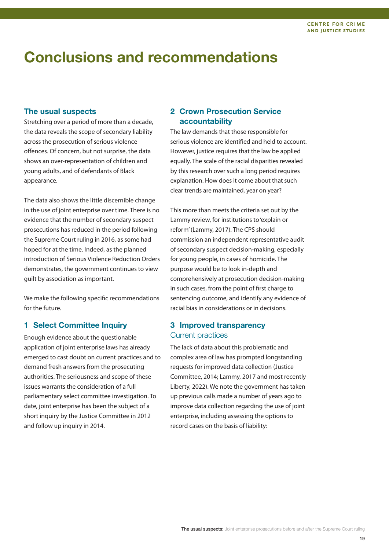### **Conclusions and recommendations**

#### **The usual suspects**

Stretching over a period of more than a decade, the data reveals the scope of secondary liability across the prosecution of serious violence offences. Of concern, but not surprise, the data shows an over-representation of children and young adults, and of defendants of Black appearance.

The data also shows the little discernible change in the use of joint enterprise over time. There is no evidence that the number of secondary suspect prosecutions has reduced in the period following the Supreme Court ruling in 2016, as some had hoped for at the time. Indeed, as the planned introduction of Serious Violence Reduction Orders demonstrates, the government continues to view guilt by association as important.

We make the following specific recommendations for the future.

### **1 Select Committee Inquiry**

Enough evidence about the questionable application of joint enterprise laws has already emerged to cast doubt on current practices and to demand fresh answers from the prosecuting authorities. The seriousness and scope of these issues warrants the consideration of a full parliamentary select committee investigation. To date, joint enterprise has been the subject of a short inquiry by the Justice Committee in 2012 and follow up inquiry in 2014.

#### **2 Crown Prosecution Service accountability**

The law demands that those responsible for serious violence are identified and held to account. However, justice requires that the law be applied equally. The scale of the racial disparities revealed by this research over such a long period requires explanation. How does it come about that such clear trends are maintained, year on year?

This more than meets the criteria set out by the Lammy review, for institutions to'explain or reform'(Lammy, 2017). The CPS should commission an independent representative audit of secondary suspect decision-making, especially for young people, in cases of homicide. The purpose would be to look in-depth and comprehensively at prosecution decision-making in such cases, from the point of first charge to sentencing outcome, and identify any evidence of racial bias in considerations or in decisions.

#### **3 Improved transparency** Current practices

The lack of data about this problematic and complex area of law has prompted longstanding requests for improved data collection (Justice Committee, 2014; Lammy, 2017 and most recently Liberty, 2022). We note the government has taken up previous calls made a number of years ago to improve data collection regarding the use of joint enterprise, including assessing the options to record cases on the basis of liability: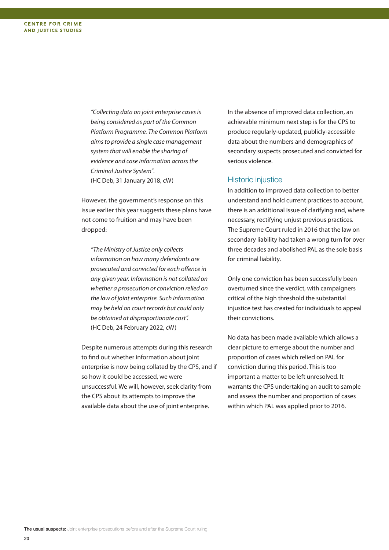"Collecting data on joint enterprise casesis being considered as part of the Common Platform Programme. The Common Platform aimsto provide a single case management system that will enable the sharing of evidence and case information across the Criminal Justice System". (HC Deb, 31 January 2018, cW)

However, the government's response on this issue earlier this year suggests these plans have not come to fruition and may have been dropped:

"The Ministry of Justice only collects information on how many defendants are prosecuted and convicted for each offence in any given year. Information is not collated on whether a prosecution or conviction relied on the law of joint enterprise. Such information may be held on court records but could only be obtained at disproportionate cost". (HC Deb, 24 February 2022, cW)

Despite numerous attempts during this research to find out whether information about joint enterprise is now being collated by the CPS, and if so how it could be accessed, we were unsuccessful. We will, however, seek clarity from the CPS about its attempts to improve the available data about the use of joint enterprise.

In the absence of improved data collection, an achievable minimum next step is for the CPS to produce regularly-updated, publicly-accessible data about the numbers and demographics of secondary suspects prosecuted and convicted for serious violence.

#### Historic injustice

In addition to improved data collection to better understand and hold current practices to account, there is an additional issue of clarifying and, where necessary, rectifying unjust previous practices. The Supreme Court ruled in 2016 that the law on secondary liability had taken a wrong turn for over three decades and abolished PAL as the sole basis for criminal liability.

Only one conviction has been successfully been overturned since the verdict, with campaigners critical of the high threshold the substantial injustice test has created for individuals to appeal their convictions.

No data has been made available which allows a clear picture to emerge about the number and proportion of cases which relied on PAL for conviction during this period. This is too important a matter to be left unresolved. It warrants the CPS undertaking an audit to sample and assess the number and proportion of cases within which PAL was applied prior to 2016.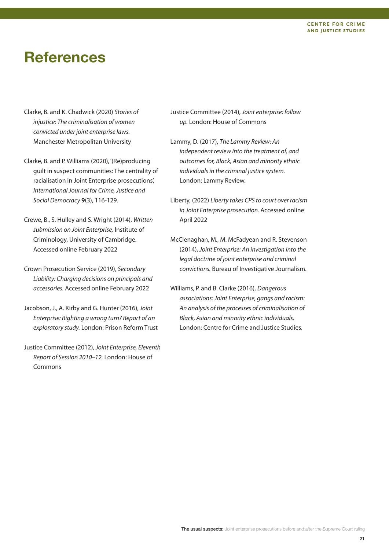#### **CENTRE FOR CRIME AND JUSTICE STUDIES**

### **References**

- Clarke, B. and K. Chadwick (2020) Stories of injustice: The criminalisation of women convicted under joint enterprise laws. Manchester Metropolitan University
- Clarke, B. and P. Williams (2020), '(Re)producing guilt in suspect communities: The centrality of racialisation in Joint Enterprise prosecutions', International Journal for Crime, Justice and Social Democracy **9**(3), 116-129.
- Crewe, B., S. Hulley and S. Wright (2014), Written submission on Joint Enterprise, Institute of Criminology, University of Cambridge. Accessed online February 2022
- Crown Prosecution Service (2019), Secondary Liability: Charging decisions on principals and accessories. Accessed online February 2022
- Jacobson, J., A. Kirby and G. Hunter (2016), Joint Enterprise: Righting a wrong turn? Report of an exploratory study. London: Prison Reform Trust
- Justice Committee (2012), Joint Enterprise, Eleventh Report of Session 2010–12. London: House of Commons
- Justice Committee (2014), Joint enterprise: follow up. London: House of Commons
- Lammy, D. (2017), The Lammy Review: An independent review into the treatment of, and outcomes for, Black, Asian and minority ethnic individuals in the criminal justice system. London: Lammy Review.
- Liberty, (2022) Liberty takes CPS to court over racism in Joint Enterprise prosecution. Accessed online April 2022
- McClenaghan, M., M. McFadyean and R. Stevenson (2014), Joint Enterprise: An investigation into the legal doctrine of joint enterprise and criminal convictions. Bureau of Investigative Journalism.
- Williams, P. and B. Clarke (2016), Dangerous associations:Joint Enterprise, gangs and racism: An analysis of the processes of criminalisation of Black, Asian and minority ethnic individuals. London: Centre for Crime and Justice Studies.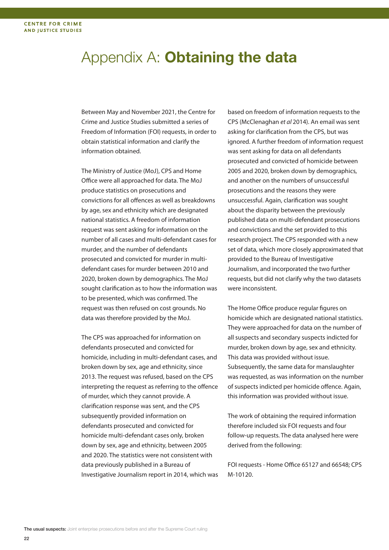### Appendix A: **Obtaining the data**

Between May and November 2021, the Centre for Crime and Justice Studies submitted a series of Freedom of Information (FOI) requests, in order to obtain statistical information and clarify the information obtained.

The Ministry of Justice (MoJ), CPS and Home Office were all approached for data. The MoJ produce statistics on prosecutions and convictions for all offences as well as breakdowns by age, sex and ethnicity which are designated national statistics. A freedom of information request was sent asking for information on the number of all cases and multi-defendant cases for murder, and the number of defendants prosecuted and convicted for murder in multidefendant cases for murder between 2010 and 2020, broken down by demographics. The MoJ sought clarification as to how the information was to be presented, which was confirmed. The request was then refused on cost grounds. No data was therefore provided by the MoJ.

The CPS was approached for information on defendants prosecuted and convicted for homicide, including in multi-defendant cases, and broken down by sex, age and ethnicity, since 2013. The request was refused, based on the CPS interpreting the request as referring to the offence of murder, which they cannot provide. A clarification response was sent, and the CPS subsequently provided information on defendants prosecuted and convicted for homicide multi-defendant cases only, broken down by sex, age and ethnicity, between 2005 and 2020. The statistics were not consistent with data previously published in a Bureau of Investigative Journalism report in 2014, which was

based on freedom of information requests to the CPS (McClenaghan et al 2014). An email was sent asking for clarification from the CPS, but was ignored. A further freedom of information request was sent asking for data on all defendants prosecuted and convicted of homicide between 2005 and 2020, broken down by demographics, and another on the numbers of unsuccessful prosecutions and the reasons they were unsuccessful. Again, clarification was sought about the disparity between the previously published data on multi-defendant prosecutions and convictions and the set provided to this research project. The CPS responded with a new set of data, which more closely approximated that provided to the Bureau of Investigative Journalism, and incorporated the two further requests, but did not clarify why the two datasets were inconsistent.

The Home Office produce regular figures on homicide which are designated national statistics. They were approached for data on the number of all suspects and secondary suspects indicted for murder, broken down by age, sex and ethnicity. This data was provided without issue. Subsequently, the same data for manslaughter was requested, as was information on the number of suspects indicted per homicide offence. Again, this information was provided without issue.

The work of obtaining the required information therefore included six FOI requests and four follow-up requests. The data analysed here were derived from the following:

FOI requests - Home Office 65127 and 66548; CPS M-10120.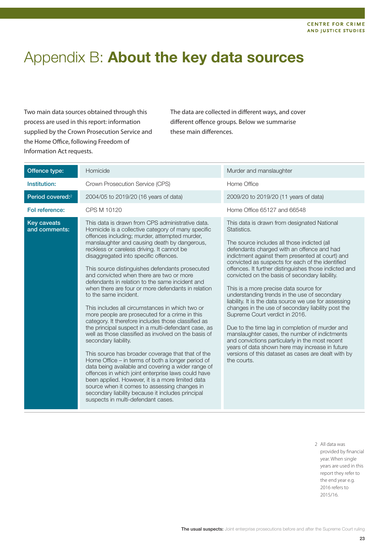### Appendix B: **About the key data sources**

Two main data sources obtained through this process are used in this report: information supplied by the Crown Prosecution Service and the Home Office, following Freedom of Information Act requests.

The data are collected in different ways, and cover different offence groups. Below we summarise these main differences.

| Offence type:                       | Homicide                                                                                                                                                                                                                                                                                                                                                                                                                                                                                                                                                                                                                                                                                                                                                                                                                                                                                                                                                                                                                                                                                                                                                                                                                                                | Murder and manslaughter                                                                                                                                                                                                                                                                                                                                                                                                                                                                                                                                                                                                                                                                                                                                                                                                                                                                              |
|-------------------------------------|---------------------------------------------------------------------------------------------------------------------------------------------------------------------------------------------------------------------------------------------------------------------------------------------------------------------------------------------------------------------------------------------------------------------------------------------------------------------------------------------------------------------------------------------------------------------------------------------------------------------------------------------------------------------------------------------------------------------------------------------------------------------------------------------------------------------------------------------------------------------------------------------------------------------------------------------------------------------------------------------------------------------------------------------------------------------------------------------------------------------------------------------------------------------------------------------------------------------------------------------------------|------------------------------------------------------------------------------------------------------------------------------------------------------------------------------------------------------------------------------------------------------------------------------------------------------------------------------------------------------------------------------------------------------------------------------------------------------------------------------------------------------------------------------------------------------------------------------------------------------------------------------------------------------------------------------------------------------------------------------------------------------------------------------------------------------------------------------------------------------------------------------------------------------|
| Institution:                        | Crown Prosecution Service (CPS)                                                                                                                                                                                                                                                                                                                                                                                                                                                                                                                                                                                                                                                                                                                                                                                                                                                                                                                                                                                                                                                                                                                                                                                                                         | Home Office                                                                                                                                                                                                                                                                                                                                                                                                                                                                                                                                                                                                                                                                                                                                                                                                                                                                                          |
| Period covered: <sup>2</sup>        | 2004/05 to 2019/20 (16 years of data)                                                                                                                                                                                                                                                                                                                                                                                                                                                                                                                                                                                                                                                                                                                                                                                                                                                                                                                                                                                                                                                                                                                                                                                                                   | 2009/20 to 2019/20 (11 years of data)                                                                                                                                                                                                                                                                                                                                                                                                                                                                                                                                                                                                                                                                                                                                                                                                                                                                |
| Fol reference:                      | CPS M 10120                                                                                                                                                                                                                                                                                                                                                                                                                                                                                                                                                                                                                                                                                                                                                                                                                                                                                                                                                                                                                                                                                                                                                                                                                                             | Home Office 65127 and 66548                                                                                                                                                                                                                                                                                                                                                                                                                                                                                                                                                                                                                                                                                                                                                                                                                                                                          |
| <b>Key caveats</b><br>and comments: | This data is drawn from CPS administrative data.<br>Homicide is a collective category of many specific<br>offences including; murder, attempted murder,<br>manslaughter and causing death by dangerous,<br>reckless or careless driving. It cannot be<br>disaggregated into specific offences.<br>This source distinguishes defendants prosecuted<br>and convicted when there are two or more<br>defendants in relation to the same incident and<br>when there are four or more defendants in relation<br>to the same incident.<br>This includes all circumstances in which two or<br>more people are prosecuted for a crime in this<br>category. It therefore includes those classified as<br>the principal suspect in a multi-defendant case, as<br>well as those classified as involved on the basis of<br>secondary liability.<br>This source has broader coverage that that of the<br>Home Office – in terms of both a longer period of<br>data being available and covering a wider range of<br>offences in which joint enterprise laws could have<br>been applied. However, it is a more limited data<br>source when it comes to assessing changes in<br>secondary liability because it includes principal<br>suspects in multi-defendant cases. | This data is drawn from designated National<br>Statistics.<br>The source includes all those indicted (all<br>defendants charged with an offence and had<br>indictment against them presented at court) and<br>convicted as suspects for each of the identified<br>offences. It further distinguishes those indicted and<br>convicted on the basis of secondary liability.<br>This is a more precise data source for<br>understanding trends in the use of secondary<br>liability. It is the data source we use for assessing<br>changes in the use of secondary liability post the<br>Supreme Court verdict in 2016.<br>Due to the time lag in completion of murder and<br>manslaughter cases, the number of indictments<br>and convictions particularly in the most recent<br>years of data shown here may increase in future<br>versions of this dataset as cases are dealt with by<br>the courts. |

2 All data was provided by financial year. When single years are used in this report they refer to the end year e.g. 2016 refers to 2015/16.